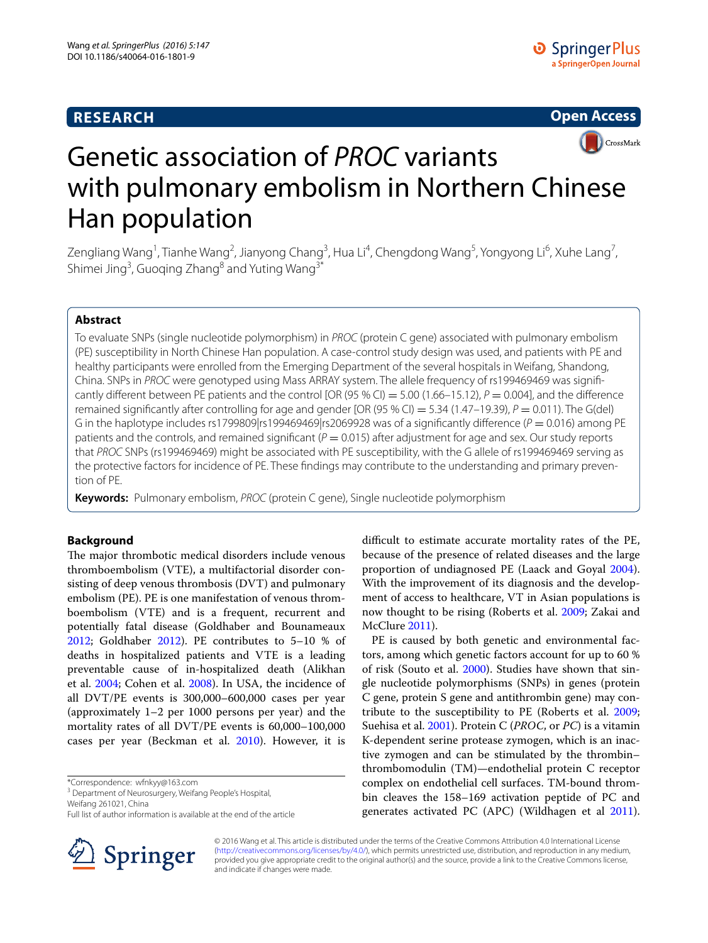# **RESEARCH**





# Genetic association of *PROC* variants with pulmonary embolism in Northern Chinese Han population

Zengliang Wang<sup>1</sup>, Tianhe Wang<sup>2</sup>, Jianyong Chang<sup>3</sup>, Hua Li<sup>4</sup>, Chengdong Wang<sup>5</sup>, Yongyong Li<sup>6</sup>, Xuhe Lang<sup>7</sup>, Shimei Jing<sup>3</sup>, Guoqing Zhang<sup>8</sup> and Yuting Wang<sup>3\*</sup>

## **Abstract**

To evaluate SNPs (single nucleotide polymorphism) in *PROC* (protein C gene) associated with pulmonary embolism (PE) susceptibility in North Chinese Han population. A case-control study design was used, and patients with PE and healthy participants were enrolled from the Emerging Department of the several hospitals in Weifang, Shandong, China. SNPs in *PROC* were genotyped using Mass ARRAY system. The allele frequency of rs199469469 was significantly different between PE patients and the control [OR (95 % CI) = 5.00 (1.66–15.12),  $P = 0.004$ ], and the difference remained significantly after controlling for age and gender [OR (95 % CI) = 5.34 (1.47–19.39),  $P = 0.011$ ). The G(del) G in the haplotype includes rs1799809|rs199469469|rs2069928 was of a significantly difference ( $P = 0.016$ ) among PE patients and the controls, and remained significant  $(P = 0.015)$  after adjustment for age and sex. Our study reports that *PROC* SNPs (rs199469469) might be associated with PE susceptibility, with the G allele of rs199469469 serving as the protective factors for incidence of PE. These findings may contribute to the understanding and primary prevention of PE.

**Keywords:** Pulmonary embolism, *PROC* (protein C gene), Single nucleotide polymorphism

## **Background**

The major thrombotic medical disorders include venous thromboembolism (VTE), a multifactorial disorder consisting of deep venous thrombosis (DVT) and pulmonary embolism (PE). PE is one manifestation of venous thromboembolism (VTE) and is a frequent, recurrent and potentially fatal disease (Goldhaber and Bounameaux [2012](#page-5-0); Goldhaber [2012](#page-5-1)). PE contributes to 5–10 % of deaths in hospitalized patients and VTE is a leading preventable cause of in-hospitalized death (Alikhan et al. [2004;](#page-4-0) Cohen et al. [2008](#page-4-1)). In USA, the incidence of all DVT/PE events is 300,000–600,000 cases per year (approximately 1–2 per 1000 persons per year) and the mortality rates of all DVT/PE events is 60,000–100,000 cases per year (Beckman et al. [2010](#page-4-2)). However, it is

\*Correspondence: wfnkyy@163.com

Weifang 261021, China

Full list of author information is available at the end of the article



difficult to estimate accurate mortality rates of the PE, because of the presence of related diseases and the large proportion of undiagnosed PE (Laack and Goyal [2004](#page-5-2)). With the improvement of its diagnosis and the development of access to healthcare, VT in Asian populations is now thought to be rising (Roberts et al. [2009](#page-5-3); Zakai and McClure [2011](#page-5-4)).

PE is caused by both genetic and environmental factors, among which genetic factors account for up to 60 % of risk (Souto et al. [2000](#page-5-5)). Studies have shown that single nucleotide polymorphisms (SNPs) in genes (protein C gene, protein S gene and antithrombin gene) may contribute to the susceptibility to PE (Roberts et al. [2009](#page-5-3); Suehisa et al. [2001\)](#page-5-6). Protein C (*PROC*, or *PC*) is a vitamin K-dependent serine protease zymogen, which is an inactive zymogen and can be stimulated by the thrombin– thrombomodulin (TM)—endothelial protein C receptor complex on endothelial cell surfaces. TM-bound thrombin cleaves the 158–169 activation peptide of PC and generates activated PC (APC) (Wildhagen et al [2011](#page-5-7)).

© 2016 Wang et al. This article is distributed under the terms of the Creative Commons Attribution 4.0 International License [\(http://creativecommons.org/licenses/by/4.0/\)](http://creativecommons.org/licenses/by/4.0/), which permits unrestricted use, distribution, and reproduction in any medium, provided you give appropriate credit to the original author(s) and the source, provide a link to the Creative Commons license, and indicate if changes were made.

<sup>&</sup>lt;sup>3</sup> Department of Neurosurgery, Weifang People's Hospital,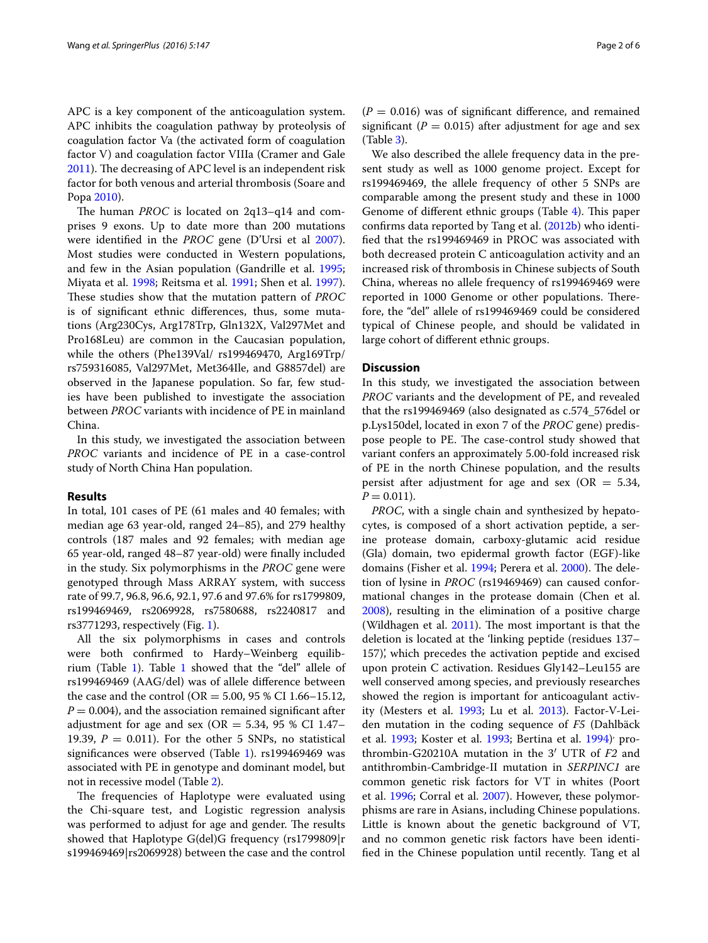APC is a key component of the anticoagulation system. APC inhibits the coagulation pathway by proteolysis of coagulation factor Va (the activated form of coagulation factor V) and coagulation factor VIIIa (Cramer and Gale [2011](#page-4-3)). The decreasing of APC level is an independent risk factor for both venous and arterial thrombosis (Soare and Popa [2010\)](#page-5-8).

The human *PROC* is located on 2q13–q14 and comprises 9 exons. Up to date more than 200 mutations were identified in the *PROC* gene (D'Ursi et al [2007](#page-4-4)). Most studies were conducted in Western populations, and few in the Asian population (Gandrille et al. [1995](#page-5-9); Miyata et al. [1998;](#page-5-10) Reitsma et al. [1991](#page-5-11); Shen et al. [1997](#page-5-12)). These studies show that the mutation pattern of *PROC* is of significant ethnic differences, thus, some mutations (Arg230Cys, Arg178Trp, Gln132X, Val297Met and Pro168Leu) are common in the Caucasian population, while the others (Phe139Val/ rs199469470, Arg169Trp/ rs759316085, Val297Met, Met364Ile, and G8857del) are observed in the Japanese population. So far, few studies have been published to investigate the association between *PROC* variants with incidence of PE in mainland China.

In this study, we investigated the association between *PROC* variants and incidence of PE in a case-control study of North China Han population.

### **Results**

In total, 101 cases of PE (61 males and 40 females; with median age 63 year-old, ranged 24–85), and 279 healthy controls (187 males and 92 females; with median age 65 year-old, ranged 48–87 year-old) were finally included in the study. Six polymorphisms in the *PROC* gene were genotyped through Mass ARRAY system, with success rate of 99.7, 96.8, 96.6, 92.1, 97.6 and 97.6% for rs1799809, rs199469469, rs2069928, rs7580688, rs2240817 and rs3771293, respectively (Fig. [1](#page-2-0)).

All the six polymorphisms in cases and controls were both confirmed to Hardy–Weinberg equilibrium (Table [1\)](#page-3-0). Table [1](#page-3-0) showed that the "del" allele of rs199469469 (AAG/del) was of allele difference between the case and the control (OR =  $5.00$ ,  $95\%$  CI 1.66–15.12,  $P = 0.004$ , and the association remained significant after adjustment for age and sex ( $OR = 5.34$ , 95 % CI 1.47– 19.39,  $P = 0.011$ ). For the other 5 SNPs, no statistical significances were observed (Table [1](#page-3-0)). rs199469469 was associated with PE in genotype and dominant model, but not in recessive model (Table [2\)](#page-3-1).

The frequencies of Haplotype were evaluated using the Chi-square test, and Logistic regression analysis was performed to adjust for age and gender. The results showed that Haplotype G(del)G frequency (rs1799809|r s199469469|rs2069928) between the case and the control  $(P = 0.016)$  was of significant difference, and remained significant ( $P = 0.015$ ) after adjustment for age and sex (Table [3\)](#page-3-2).

We also described the allele frequency data in the present study as well as 1000 genome project. Except for rs199469469, the allele frequency of other 5 SNPs are comparable among the present study and these in 1000 Genome of different ethnic groups (Table [4](#page-3-3)). This paper confirms data reported by Tang et al. [\(2012b\)](#page-5-13) who identified that the rs199469469 in PROC was associated with both decreased protein C anticoagulation activity and an increased risk of thrombosis in Chinese subjects of South China, whereas no allele frequency of rs199469469 were reported in 1000 Genome or other populations. Therefore, the "del" allele of rs199469469 could be considered typical of Chinese people, and should be validated in large cohort of different ethnic groups.

## **Discussion**

In this study, we investigated the association between *PROC* variants and the development of PE, and revealed that the rs199469469 (also designated as c.574\_576del or p.Lys150del, located in exon 7 of the *PROC* gene) predispose people to PE. The case-control study showed that variant confers an approximately 5.00-fold increased risk of PE in the north Chinese population, and the results persist after adjustment for age and sex ( $OR = 5.34$ ,  $P = 0.011$ .

*PROC*, with a single chain and synthesized by hepatocytes, is composed of a short activation peptide, a serine protease domain, carboxy-glutamic acid residue (Gla) domain, two epidermal growth factor (EGF)-like domains (Fisher et al. [1994;](#page-4-5) Perera et al. [2000\)](#page-5-14). The deletion of lysine in *PROC* (rs19469469) can caused conformational changes in the protease domain (Chen et al. [2008](#page-4-6)), resulting in the elimination of a positive charge (Wildhagen et al. [2011\)](#page-5-7). The most important is that the deletion is located at the 'linking peptide (residues 137– 157)', which precedes the activation peptide and excised upon protein C activation. Residues Gly142–Leu155 are well conserved among species, and previously researches showed the region is important for anticoagulant activity (Mesters et al. [1993;](#page-5-15) Lu et al. [2013](#page-5-16)). Factor-V-Leiden mutation in the coding sequence of *F5* (Dahlbäck et al. [1993;](#page-5-17) Koster et al. 1993; Bertina et al. [1994\)](#page-4-8)<sup>,</sup> prothrombin-G20210A mutation in the 3′ UTR of *F2* and antithrombin-Cambridge-II mutation in *SERPINC1* are common genetic risk factors for VT in whites (Poort et al. [1996;](#page-5-18) Corral et al. [2007\)](#page-4-9). However, these polymorphisms are rare in Asians, including Chinese populations. Little is known about the genetic background of VT, and no common genetic risk factors have been identified in the Chinese population until recently. Tang et al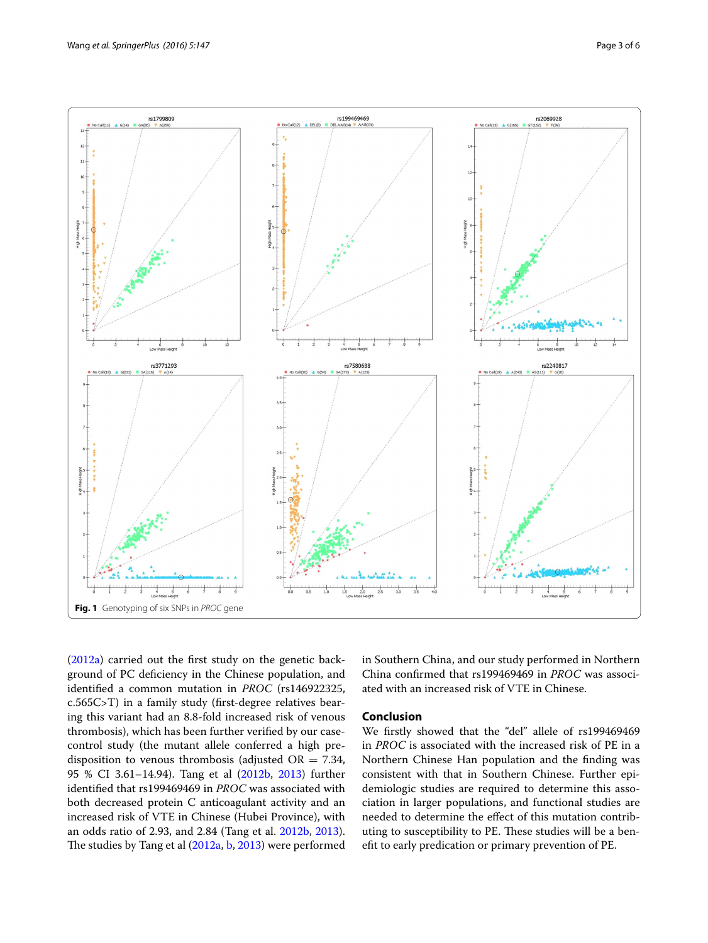

<span id="page-2-0"></span>([2012a](#page-5-19)) carried out the first study on the genetic background of PC deficiency in the Chinese population, and identified a common mutation in *PROC* (rs146922325, c.565C>T) in a family study (first-degree relatives bearing this variant had an 8.8-fold increased risk of venous thrombosis), which has been further verified by our casecontrol study (the mutant allele conferred a high predisposition to venous thrombosis (adjusted  $OR = 7.34$ , 95 % CI 3.61–14.94). Tang et al ([2012b,](#page-5-13) [2013\)](#page-5-20) further identified that rs199469469 in *PROC* was associated with both decreased protein C anticoagulant activity and an increased risk of VTE in Chinese (Hubei Province), with an odds ratio of 2.93, and 2.84 (Tang et al. [2012b](#page-5-13), [2013](#page-5-20)). The studies by Tang et al ([2012a](#page-5-19), [b,](#page-5-13) [2013\)](#page-5-20) were performed

in Southern China, and our study performed in Northern China confirmed that rs199469469 in *PROC* was associated with an increased risk of VTE in Chinese.

## **Conclusion**

We firstly showed that the "del" allele of rs199469469 in *PROC* is associated with the increased risk of PE in a Northern Chinese Han population and the finding was consistent with that in Southern Chinese. Further epidemiologic studies are required to determine this association in larger populations, and functional studies are needed to determine the effect of this mutation contributing to susceptibility to PE. These studies will be a benefit to early predication or primary prevention of PE.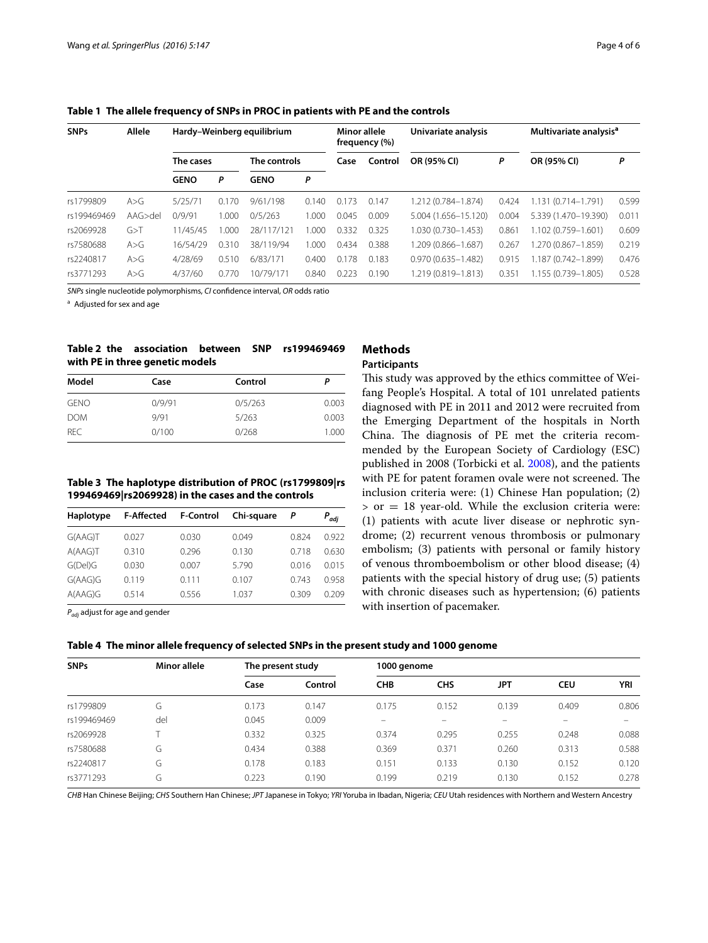| <b>SNPs</b> | <b>Allele</b> | Hardy-Weinberg equilibrium |           |              | Minor allele<br>frequency (%) |       | Univariate analysis |                        | Multivariate analysis <sup>a</sup> |                      |       |
|-------------|---------------|----------------------------|-----------|--------------|-------------------------------|-------|---------------------|------------------------|------------------------------------|----------------------|-------|
|             |               | The cases                  |           | The controls |                               | Case  | Control             | OR (95% CI)            | P                                  | OR (95% CI)          | P     |
|             |               | <b>GENO</b>                | P         | <b>GENO</b>  | P                             |       |                     |                        |                                    |                      |       |
| rs1799809   | A > G         | 5/25/71                    | 70<br>0.1 | 9/61/198     | 0.140                         | 0.173 | 0.147               | 1.212 (0.784-1.874)    | 0.424                              | 1.131 (0.714-1.791)  | 0.599 |
| rs199469469 | AAG > de      | 0/9/91                     | .000      | 0/5/263      | 1.000                         | 0.045 | 0.009               | 5.004 (1.656-15.120)   | 0.004                              | 5.339 (1.470-19.390) | 0.011 |
| rs2069928   | G > T         | 11/45/45                   | .000      | 28/117/121   | .000                          | 0.332 | 0.325               | 1.030 (0.730-1.453)    | 0.861                              | 1.102 (0.759-1.601)  | 0.609 |
| rs7580688   | A > G         | 16/54/29                   | 0.310     | 38/119/94    | .000                          | 0.434 | 0.388               | 1.209 (0.866-1.687)    | 0.267                              | 1.270 (0.867-1.859)  | 0.219 |
| rs2240817   | A > G         | 4/28/69                    | 0.510     | 6/83/171     | 0.400                         | 0.178 | 0.183               | $0.970(0.635 - 1.482)$ | 0.915                              | 1.187 (0.742-1.899)  | 0.476 |
| rs3771293   | A > G         | 4/37/60                    | 0.770     | 10/79/171    | 0.840                         | 0.223 | 0.190               | 1.219 (0.819-1.813)    | 0.351                              | 1.155 (0.739-1.805)  | 0.528 |

<span id="page-3-0"></span>**Table 1 The allele frequency of SNPs in PROC in patients with PE and the controls**

*SNPs* single nucleotide polymorphisms, *CI* confidence interval, *OR* odds ratio

<sup>a</sup> Adjusted for sex and age

## <span id="page-3-1"></span>**Table 2 the association between SNP rs199469469 with PE in three genetic models**

| Model       | Case   | Control | Р     |
|-------------|--------|---------|-------|
| <b>GENO</b> | 0/9/91 | 0/5/263 | 0.003 |
| <b>DOM</b>  | 9/91   | 5/263   | 0.003 |
| <b>REC</b>  | 0/100  | 0/268   | 1.000 |

## <span id="page-3-2"></span>**Table 3 The haplotype distribution of PROC (rs1799809|rs 199469469|rs2069928) in the cases and the controls**

| Haplotype | <b>F-Affected</b> | <b>F-Control</b> | Chi-square | Р     | $P_{adj}$ |
|-----------|-------------------|------------------|------------|-------|-----------|
| G(AAG)T   | 0.027             | 0.030            | 0.049      | 0.824 | 0.922     |
| A(AAG)T   | 0.310             | 0.296            | 0.130      | 0.718 | 0.630     |
| G(Del)G   | 0.030             | 0.007            | 5.790      | 0.016 | 0.015     |
| G(AAG)G   | 0.119             | 0.111            | 0.107      | 0.743 | 0958      |
| A(AAG)G   | 0.514             | 0.556            | 1.037      | 0.309 | 0.209     |

*Padj* adjust for age and gender

# **Methods**

## **Participants**

This study was approved by the ethics committee of Weifang People's Hospital. A total of 101 unrelated patients diagnosed with PE in 2011 and 2012 were recruited from the Emerging Department of the hospitals in North China. The diagnosis of PE met the criteria recommended by the European Society of Cardiology (ESC) published in 2008 (Torbicki et al. [2008\)](#page-5-21), and the patients with PE for patent foramen ovale were not screened. The inclusion criteria were: (1) Chinese Han population; (2)  $>$  or  $=$  18 year-old. While the exclusion criteria were: (1) patients with acute liver disease or nephrotic syndrome; (2) recurrent venous thrombosis or pulmonary embolism; (3) patients with personal or family history of venous thromboembolism or other blood disease; (4) patients with the special history of drug use; (5) patients with chronic diseases such as hypertension; (6) patients with insertion of pacemaker.

<span id="page-3-3"></span>

|  |  | Table 4 The minor allele frequency of selected SNPs in the present study and 1000 genome |
|--|--|------------------------------------------------------------------------------------------|
|--|--|------------------------------------------------------------------------------------------|

| <b>SNPs</b> | <b>Minor allele</b> | The present study |         | 1000 genome |            |       |            |       |
|-------------|---------------------|-------------------|---------|-------------|------------|-------|------------|-------|
|             |                     | Case              | Control | <b>CHB</b>  | <b>CHS</b> | JPT   | <b>CEU</b> | YRI   |
| rs1799809   | G                   | 0.173             | 0.147   | 0.175       | 0.152      | 0.139 | 0.409      | 0.806 |
| rs199469469 | del                 | 0.045             | 0.009   |             |            |       |            |       |
| rs2069928   |                     | 0.332             | 0.325   | 0.374       | 0.295      | 0.255 | 0.248      | 0.088 |
| rs7580688   | G                   | 0.434             | 0.388   | 0.369       | 0.371      | 0.260 | 0.313      | 0.588 |
| rs2240817   | G                   | 0.178             | 0.183   | 0.151       | 0.133      | 0.130 | 0.152      | 0.120 |
| rs3771293   | G                   | 0.223             | 0.190   | 0.199       | 0.219      | 0.130 | 0.152      | 0.278 |

*CHB* Han Chinese Beijing; *CHS* Southern Han Chinese; *JPT* Japanese in Tokyo; *YRI* Yoruba in Ibadan, Nigeria; *CEU* Utah residences with Northern and Western Ancestry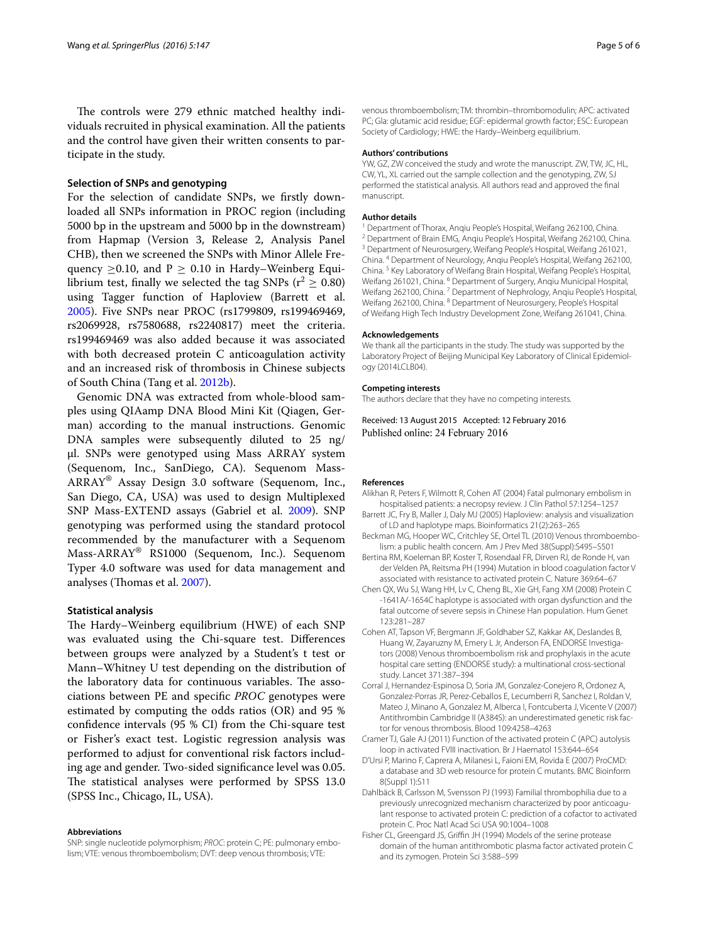The controls were 279 ethnic matched healthy individuals recruited in physical examination. All the patients and the control have given their written consents to participate in the study.

#### **Selection of SNPs and genotyping**

For the selection of candidate SNPs, we firstly downloaded all SNPs information in PROC region (including 5000 bp in the upstream and 5000 bp in the downstream) from Hapmap (Version 3, Release 2, Analysis Panel CHB), then we screened the SNPs with Minor Allele Frequency  $>0.10$ , and  $P > 0.10$  in Hardy–Weinberg Equilibrium test, finally we selected the tag SNPs ( $r^2 \ge 0.80$ ) using Tagger function of Haploview (Barrett et al. [2005](#page-4-10)). Five SNPs near PROC (rs1799809, rs199469469, rs2069928, rs7580688, rs2240817) meet the criteria. rs199469469 was also added because it was associated with both decreased protein C anticoagulation activity and an increased risk of thrombosis in Chinese subjects of South China (Tang et al. [2012b](#page-5-13)).

Genomic DNA was extracted from whole-blood samples using QIAamp DNA Blood Mini Kit (Qiagen, German) according to the manual instructions. Genomic DNA samples were subsequently diluted to 25 ng/ μl. SNPs were genotyped using Mass ARRAY system (Sequenom, Inc., SanDiego, CA). Sequenom Mass-ARRAY® Assay Design 3.0 software (Sequenom, Inc., San Diego, CA, USA) was used to design Multiplexed SNP Mass-EXTEND assays (Gabriel et al. [2009](#page-5-22)). SNP genotyping was performed using the standard protocol recommended by the manufacturer with a Sequenom Mass-ARRAY® RS1000 (Sequenom, Inc.). Sequenom Typer 4.0 software was used for data management and analyses (Thomas et al. [2007](#page-5-23)).

#### **Statistical analysis**

The Hardy–Weinberg equilibrium (HWE) of each SNP was evaluated using the Chi-square test. Differences between groups were analyzed by a Student's t test or Mann–Whitney U test depending on the distribution of the laboratory data for continuous variables. The associations between PE and specific *PROC* genotypes were estimated by computing the odds ratios (OR) and 95 % confidence intervals (95 % CI) from the Chi-square test or Fisher's exact test. Logistic regression analysis was performed to adjust for conventional risk factors including age and gender. Two-sided significance level was 0.05. The statistical analyses were performed by SPSS 13.0 (SPSS Inc., Chicago, IL, USA).

#### **Abbreviations**

SNP: single nucleotide polymorphism; *PROC*: protein C; PE: pulmonary embolism; VTE: venous thromboembolism; DVT: deep venous thrombosis; VTE:

venous thromboembolism; TM: thrombin–thrombomodulin; APC: activated PC; Gla: glutamic acid residue; EGF: epidermal growth factor; ESC: European Society of Cardiology; HWE: the Hardy–Weinberg equilibrium.

#### **Authors' contributions**

YW, GZ, ZW conceived the study and wrote the manuscript. ZW, TW, JC, HL, CW, YL, XL carried out the sample collection and the genotyping, ZW, SJ performed the statistical analysis. All authors read and approved the final manuscript.

#### **Author details**

<sup>1</sup> Department of Thorax, Anqiu People's Hospital, Weifang 262100, China.<br><sup>2</sup> Department of Brain EMG, Anqiu People's Hospital, Weifang 262100, China.<br><sup>3</sup> Department of Neurosurgery, Weifang People's Hospital, Weifang 2610 China. <sup>4</sup> Department of Neurology, Anqiu People's Hospital, Weifang 262100, China. <sup>5</sup> Key Laboratory of Weifang Brain Hospital, Weifang People's Hospital, Weifang 261021, China. <sup>6</sup> Department of Surgery, Anqiu Municipal Hospital, Weifang 262100, China. <sup>7</sup> Department of Nephrology, Anqiu People's Hospital, Weifang 262100, China. <sup>8</sup> Department of Neurosurgery, People's Hospital of Weifang High Tech Industry Development Zone, Weifang 261041, China.

#### **Acknowledgements**

We thank all the participants in the study. The study was supported by the Laboratory Project of Beijing Municipal Key Laboratory of Clinical Epidemiology (2014LCLB04).

#### **Competing interests**

The authors declare that they have no competing interests.

Received: 13 August 2015 Accepted: 12 February 2016 Published online: 24 February 2016

#### **References**

- <span id="page-4-0"></span>Alikhan R, Peters F, Wilmott R, Cohen AT (2004) Fatal pulmonary embolism in hospitalised patients: a necropsy review. J Clin Pathol 57:1254–1257
- <span id="page-4-10"></span>Barrett JC, Fry B, Maller J, Daly MJ (2005) Haploview: analysis and visualization of LD and haplotype maps. Bioinformatics 21(2):263–265
- <span id="page-4-2"></span>Beckman MG, Hooper WC, Critchley SE, Ortel TL (2010) Venous thromboembolism: a public health concern. Am J Prev Med 38(Suppl):S495–S501
- <span id="page-4-8"></span>Bertina RM, Koeleman BP, Koster T, Rosendaal FR, Dirven RJ, de Ronde H, van der Velden PA, Reitsma PH (1994) Mutation in blood coagulation factor V associated with resistance to activated protein C. Nature 369:64–67
- <span id="page-4-6"></span>Chen QX, Wu SJ, Wang HH, Lv C, Cheng BL, Xie GH, Fang XM (2008) Protein C -1641A/-1654C haplotype is associated with organ dysfunction and the fatal outcome of severe sepsis in Chinese Han population. Hum Genet 123:281–287
- <span id="page-4-1"></span>Cohen AT, Tapson VF, Bergmann JF, Goldhaber SZ, Kakkar AK, Deslandes B, Huang W, Zayaruzny M, Emery L Jr, Anderson FA, ENDORSE Investigators (2008) Venous thromboembolism risk and prophylaxis in the acute hospital care setting (ENDORSE study): a multinational cross-sectional study. Lancet 371:387–394
- <span id="page-4-9"></span>Corral J, Hernandez-Espinosa D, Soria JM, Gonzalez-Conejero R, Ordonez A, Gonzalez-Porras JR, Perez-Ceballos E, Lecumberri R, Sanchez I, Roldan V, Mateo J, Minano A, Gonzalez M, Alberca I, Fontcuberta J, Vicente V (2007) Antithrombin Cambridge II (A384S): an underestimated genetic risk factor for venous thrombosis. Blood 109:4258–4263
- <span id="page-4-3"></span>Cramer TJ, Gale AJ (2011) Function of the activated protein C (APC) autolysis loop in activated FVIII inactivation. Br J Haematol 153:644–654
- <span id="page-4-4"></span>D'Ursi P, Marino F, Caprera A, Milanesi L, Faioni EM, Rovida E (2007) ProCMD: a database and 3D web resource for protein C mutants. BMC Bioinform 8(Suppl 1):S11
- <span id="page-4-7"></span>Dahlbäck B, Carlsson M, Svensson PJ (1993) Familial thrombophilia due to a previously unrecognized mechanism characterized by poor anticoagulant response to activated protein C: prediction of a cofactor to activated protein C. Proc Natl Acad Sci USA 90:1004–1008
- <span id="page-4-5"></span>Fisher CL, Greengard JS, Griffin JH (1994) Models of the serine protease domain of the human antithrombotic plasma factor activated protein C and its zymogen. Protein Sci 3:588–599